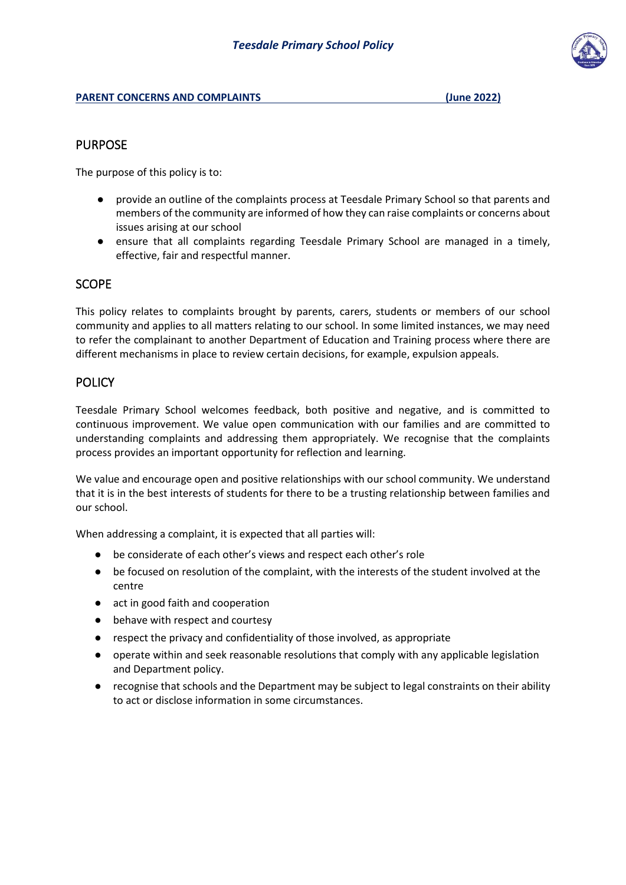### PURPOSE

The purpose of this policy is to:

- provide an outline of the complaints process at Teesdale Primary School so that parents and members of the community are informed of how they can raise complaints or concerns about issues arising at our school
- ensure that all complaints regarding Teesdale Primary School are managed in a timely, effective, fair and respectful manner.

# **SCOPE**

This policy relates to complaints brought by parents, carers, students or members of our school community and applies to all matters relating to our school. In some limited instances, we may need to refer the complainant to another Department of Education and Training process where there are different mechanisms in place to review certain decisions, for example, expulsion appeals.

### **POLICY**

Teesdale Primary School welcomes feedback, both positive and negative, and is committed to continuous improvement. We value open communication with our families and are committed to understanding complaints and addressing them appropriately. We recognise that the complaints process provides an important opportunity for reflection and learning.

We value and encourage open and positive relationships with our school community. We understand that it is in the best interests of students for there to be a trusting relationship between families and our school.

When addressing a complaint, it is expected that all parties will:

- be considerate of each other's views and respect each other's role
- be focused on resolution of the complaint, with the interests of the student involved at the centre
- act in good faith and cooperation
- behave with respect and courtesy
- respect the privacy and confidentiality of those involved, as appropriate
- operate within and seek reasonable resolutions that comply with any applicable legislation and Department policy.
- recognise that schools and the Department may be subject to legal constraints on their ability to act or disclose information in some circumstances.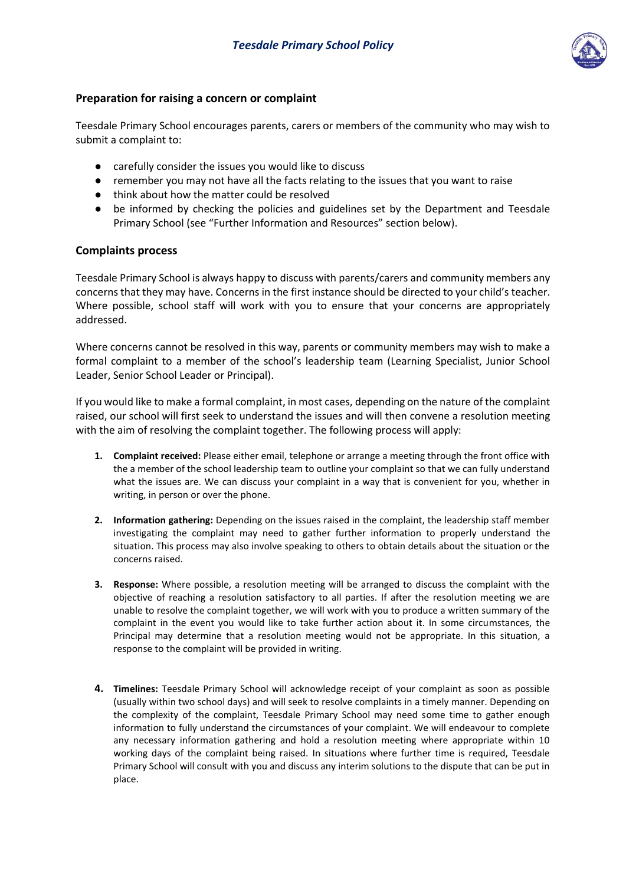

## **Preparation for raising a concern or complaint**

Teesdale Primary School encourages parents, carers or members of the community who may wish to submit a complaint to:

- carefully consider the issues you would like to discuss
- remember you may not have all the facts relating to the issues that you want to raise
- think about how the matter could be resolved
- be informed by checking the policies and guidelines set by the Department and Teesdale Primary School (see "Further Information and Resources" section below).

#### **Complaints process**

Teesdale Primary School is always happy to discuss with parents/carers and community members any concerns that they may have. Concerns in the first instance should be directed to your child's teacher. Where possible, school staff will work with you to ensure that your concerns are appropriately addressed.

Where concerns cannot be resolved in this way, parents or community members may wish to make a formal complaint to a member of the school's leadership team (Learning Specialist, Junior School Leader, Senior School Leader or Principal).

If you would like to make a formal complaint, in most cases, depending on the nature of the complaint raised, our school will first seek to understand the issues and will then convene a resolution meeting with the aim of resolving the complaint together. The following process will apply:

- **1. Complaint received:** Please either email, telephone or arrange a meeting through the front office with the a member of the school leadership team to outline your complaint so that we can fully understand what the issues are. We can discuss your complaint in a way that is convenient for you, whether in writing, in person or over the phone.
- **2. Information gathering:** Depending on the issues raised in the complaint, the leadership staff member investigating the complaint may need to gather further information to properly understand the situation. This process may also involve speaking to others to obtain details about the situation or the concerns raised.
- **3. Response:** Where possible, a resolution meeting will be arranged to discuss the complaint with the objective of reaching a resolution satisfactory to all parties. If after the resolution meeting we are unable to resolve the complaint together, we will work with you to produce a written summary of the complaint in the event you would like to take further action about it. In some circumstances, the Principal may determine that a resolution meeting would not be appropriate. In this situation, a response to the complaint will be provided in writing.
- **4. Timelines:** Teesdale Primary School will acknowledge receipt of your complaint as soon as possible (usually within two school days) and will seek to resolve complaints in a timely manner. Depending on the complexity of the complaint, Teesdale Primary School may need some time to gather enough information to fully understand the circumstances of your complaint. We will endeavour to complete any necessary information gathering and hold a resolution meeting where appropriate within 10 working days of the complaint being raised. In situations where further time is required, Teesdale Primary School will consult with you and discuss any interim solutions to the dispute that can be put in place.